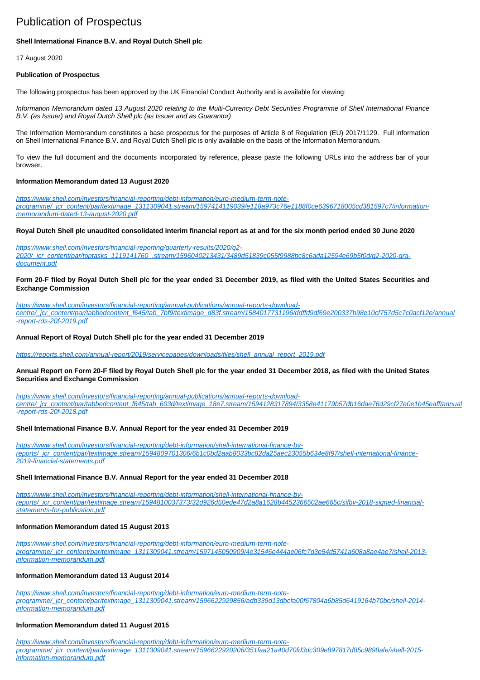# Publication of Prospectus

## **Shell International Finance B.V. and Royal Dutch Shell plc**

17 August 2020

#### **Publication of Prospectus**

The following prospectus has been approved by the UK Financial Conduct Authority and is available for viewing:

Information Memorandum dated 13 August 2020 relating to the Multi-Currency Debt Securities Programme of Shell International Finance B.V. (as Issuer) and Royal Dutch Shell plc (as Issuer and as Guarantor)

The Information Memorandum constitutes a base prospectus for the purposes of Article 8 of Regulation (EU) 2017/1129. Full information on Shell International Finance B.V. and Royal Dutch Shell plc is only available on the basis of the Information Memorandum.

To view the full document and the documents incorporated by reference, please paste the following URLs into the address bar of your browser.

#### **Information Memorandum dated 13 August 2020**

[https://www.shell.com/investors/financial-reporting/debt-information/euro-medium-term-note](https://www.shell.com/investors/financial-reporting/debt-information/euro-medium-term-note-programme/_jcr_content/par/textimage_1311309041.stream/1597414119039/e118a973c76e1188f0ce6396718005cd381597c7/information-memorandum-dated-13-august-2020.pdf)[programme/\\_jcr\\_content/par/textimage\\_1311309041.stream/1597414119039/e118a973c76e1188f0ce6396718005cd381597c7/information](https://www.shell.com/investors/financial-reporting/debt-information/euro-medium-term-note-programme/_jcr_content/par/textimage_1311309041.stream/1597414119039/e118a973c76e1188f0ce6396718005cd381597c7/information-memorandum-dated-13-august-2020.pdf)[memorandum-dated-13-august-2020.pdf](https://www.shell.com/investors/financial-reporting/debt-information/euro-medium-term-note-programme/_jcr_content/par/textimage_1311309041.stream/1597414119039/e118a973c76e1188f0ce6396718005cd381597c7/information-memorandum-dated-13-august-2020.pdf)

**Royal Dutch Shell plc unaudited consolidated interim financial report as at and for the six month period ended 30 June 2020**

[https://www.shell.com/investors/financial-reporting/quarterly-results/2020/q2-](https://www.shell.com/investors/financial-reporting/quarterly-results/2020/q2-2020/_jcr_content/par/toptasks_1119141760_.stream/1596040213431/3489d51839c055f9988bc8c6ada12594e69b5f0d/q2-2020-qra-document.pdf) [2020/\\_jcr\\_content/par/toptasks\\_1119141760\\_.stream/1596040213431/3489d51839c055f9988bc8c6ada12594e69b5f0d/q2-2020-qra](https://www.shell.com/investors/financial-reporting/quarterly-results/2020/q2-2020/_jcr_content/par/toptasks_1119141760_.stream/1596040213431/3489d51839c055f9988bc8c6ada12594e69b5f0d/q2-2020-qra-document.pdf)[document.pdf](https://www.shell.com/investors/financial-reporting/quarterly-results/2020/q2-2020/_jcr_content/par/toptasks_1119141760_.stream/1596040213431/3489d51839c055f9988bc8c6ada12594e69b5f0d/q2-2020-qra-document.pdf)

## **Form 20-F filed by Royal Dutch Shell plc for the year ended 31 December 2019, as filed with the United States Securities and Exchange Commission**

[https://www.shell.com/investors/financial-reporting/annual-publications/annual-reports-download](https://www.shell.com/investors/financial-reporting/annual-publications/annual-reports-download-centre/_jcr_content/par/tabbedcontent_f645/tab_7bf9/textimage_d83f.stream/1584017731196/ddffd9df69e200337b98e10cf757d5c7c0acf12e/annual-report-rds-20f-2019.pdf)[centre/\\_jcr\\_content/par/tabbedcontent\\_f645/tab\\_7bf9/textimage\\_d83f.stream/1584017731196/ddffd9df69e200337b98e10cf757d5c7c0acf12e/annual](https://www.shell.com/investors/financial-reporting/annual-publications/annual-reports-download-centre/_jcr_content/par/tabbedcontent_f645/tab_7bf9/textimage_d83f.stream/1584017731196/ddffd9df69e200337b98e10cf757d5c7c0acf12e/annual-report-rds-20f-2019.pdf) [-report-rds-20f-2019.pdf](https://www.shell.com/investors/financial-reporting/annual-publications/annual-reports-download-centre/_jcr_content/par/tabbedcontent_f645/tab_7bf9/textimage_d83f.stream/1584017731196/ddffd9df69e200337b98e10cf757d5c7c0acf12e/annual-report-rds-20f-2019.pdf)

## **Annual Report of Royal Dutch Shell plc for the year ended 31 December 2019**

[https://reports.shell.com/annual-report/2019/servicepages/downloads/files/shell\\_annual\\_report\\_2019.pdf](https://reports.shell.com/annual-report/2019/servicepages/downloads/files/shell_annual_report_2019.pdf)

#### **Annual Report on Form 20-F filed by Royal Dutch Shell plc for the year ended 31 December 2018, as filed with the United States Securities and Exchange Commission**

[https://www.shell.com/investors/financial-reporting/annual-publications/annual-reports-download](https://www.shell.com/investors/financial-reporting/annual-publications/annual-reports-download-centre/_jcr_content/par/tabbedcontent_f645/tab_603d/textimage_18e7.stream/1594128317894/3358e41179b57db16dae76d29cf27e0e1b45eaff/annual-report-rds-20f-2018.pdf)[centre/\\_jcr\\_content/par/tabbedcontent\\_f645/tab\\_603d/textimage\\_18e7.stream/1594128317894/3358e41179b57db16dae76d29cf27e0e1b45eaff/annual](https://www.shell.com/investors/financial-reporting/annual-publications/annual-reports-download-centre/_jcr_content/par/tabbedcontent_f645/tab_603d/textimage_18e7.stream/1594128317894/3358e41179b57db16dae76d29cf27e0e1b45eaff/annual-report-rds-20f-2018.pdf) [-report-rds-20f-2018.pdf](https://www.shell.com/investors/financial-reporting/annual-publications/annual-reports-download-centre/_jcr_content/par/tabbedcontent_f645/tab_603d/textimage_18e7.stream/1594128317894/3358e41179b57db16dae76d29cf27e0e1b45eaff/annual-report-rds-20f-2018.pdf)

## **Shell International Finance B.V. Annual Report for the year ended 31 December 2019**

[https://www.shell.com/investors/financial-reporting/debt-information/shell-international-finance-bv](https://www.shell.com/investors/financial-reporting/debt-information/shell-international-finance-bv-reports/_jcr_content/par/textimage.stream/1594809701306/6b1c0bd2aab8033bc82da25aec23055b634e8f97/shell-international-finance-2019-financial-statements.pdf)[reports/\\_jcr\\_content/par/textimage.stream/1594809701306/6b1c0bd2aab8033bc82da25aec23055b634e8f97/shell-international-finance-](https://www.shell.com/investors/financial-reporting/debt-information/shell-international-finance-bv-reports/_jcr_content/par/textimage.stream/1594809701306/6b1c0bd2aab8033bc82da25aec23055b634e8f97/shell-international-finance-2019-financial-statements.pdf)[2019-financial-statements.pdf](https://www.shell.com/investors/financial-reporting/debt-information/shell-international-finance-bv-reports/_jcr_content/par/textimage.stream/1594809701306/6b1c0bd2aab8033bc82da25aec23055b634e8f97/shell-international-finance-2019-financial-statements.pdf)

#### **Shell International Finance B.V. Annual Report for the year ended 31 December 2018**

[https://www.shell.com/investors/financial-reporting/debt-information/shell-international-finance-bv](https://www.shell.com/investors/financial-reporting/debt-information/shell-international-finance-bv-reports/_jcr_content/par/textimage.stream/1594810037373/32d926d50ede47d2a8a1628b4452366502ae665c/sifbv-2018-signed-financial-statements-for-publication.pdf)[reports/\\_jcr\\_content/par/textimage.stream/1594810037373/32d926d50ede47d2a8a1628b4452366502ae665c/sifbv-2018-signed-financial](https://www.shell.com/investors/financial-reporting/debt-information/shell-international-finance-bv-reports/_jcr_content/par/textimage.stream/1594810037373/32d926d50ede47d2a8a1628b4452366502ae665c/sifbv-2018-signed-financial-statements-for-publication.pdf)[statements-for-publication.pdf](https://www.shell.com/investors/financial-reporting/debt-information/shell-international-finance-bv-reports/_jcr_content/par/textimage.stream/1594810037373/32d926d50ede47d2a8a1628b4452366502ae665c/sifbv-2018-signed-financial-statements-for-publication.pdf)

#### **Information Memorandum dated 15 August 2013**

[https://www.shell.com/investors/financial-reporting/debt-information/euro-medium-term-note](https://www.shell.com/investors/financial-reporting/debt-information/euro-medium-term-note-programme/_jcr_content/par/textimage_1311309041.stream/1597145050909/4e31546e444ae06fc7d3e54d5741a608a8ae4ae7/shell-2013-information-memorandum.pdf)[programme/\\_jcr\\_content/par/textimage\\_1311309041.stream/1597145050909/4e31546e444ae06fc7d3e54d5741a608a8ae4ae7/shell-2013](https://www.shell.com/investors/financial-reporting/debt-information/euro-medium-term-note-programme/_jcr_content/par/textimage_1311309041.stream/1597145050909/4e31546e444ae06fc7d3e54d5741a608a8ae4ae7/shell-2013-information-memorandum.pdf) [information-memorandum.pdf](https://www.shell.com/investors/financial-reporting/debt-information/euro-medium-term-note-programme/_jcr_content/par/textimage_1311309041.stream/1597145050909/4e31546e444ae06fc7d3e54d5741a608a8ae4ae7/shell-2013-information-memorandum.pdf)

#### **Information Memorandum dated 13 August 2014**

[https://www.shell.com/investors/financial-reporting/debt-information/euro-medium-term-note](https://www.shell.com/investors/financial-reporting/debt-information/euro-medium-term-note-programme/_jcr_content/par/textimage_1311309041.stream/1596622929856/adb339d13dbcfa00f67804a6b85d6419164b70bc/shell-2014-information-memorandum.pdf)[programme/\\_jcr\\_content/par/textimage\\_1311309041.stream/1596622929856/adb339d13dbcfa00f67804a6b85d6419164b70bc/shell-2014](https://www.shell.com/investors/financial-reporting/debt-information/euro-medium-term-note-programme/_jcr_content/par/textimage_1311309041.stream/1596622929856/adb339d13dbcfa00f67804a6b85d6419164b70bc/shell-2014-information-memorandum.pdf) [information-memorandum.pdf](https://www.shell.com/investors/financial-reporting/debt-information/euro-medium-term-note-programme/_jcr_content/par/textimage_1311309041.stream/1596622929856/adb339d13dbcfa00f67804a6b85d6419164b70bc/shell-2014-information-memorandum.pdf)

#### **Information Memorandum dated 11 August 2015**

[https://www.shell.com/investors/financial-reporting/debt-information/euro-medium-term-note](https://www.shell.com/investors/financial-reporting/debt-information/euro-medium-term-note-programme/_jcr_content/par/textimage_1311309041.stream/1596622920206/351faa21a40d70fd3dc309e897817d85c9898afe/shell-2015-information-memorandum.pdf)[programme/\\_jcr\\_content/par/textimage\\_1311309041.stream/1596622920206/351faa21a40d70fd3dc309e897817d85c9898afe/shell-2015](https://www.shell.com/investors/financial-reporting/debt-information/euro-medium-term-note-programme/_jcr_content/par/textimage_1311309041.stream/1596622920206/351faa21a40d70fd3dc309e897817d85c9898afe/shell-2015-information-memorandum.pdf) [information-memorandum.pdf](https://www.shell.com/investors/financial-reporting/debt-information/euro-medium-term-note-programme/_jcr_content/par/textimage_1311309041.stream/1596622920206/351faa21a40d70fd3dc309e897817d85c9898afe/shell-2015-information-memorandum.pdf)